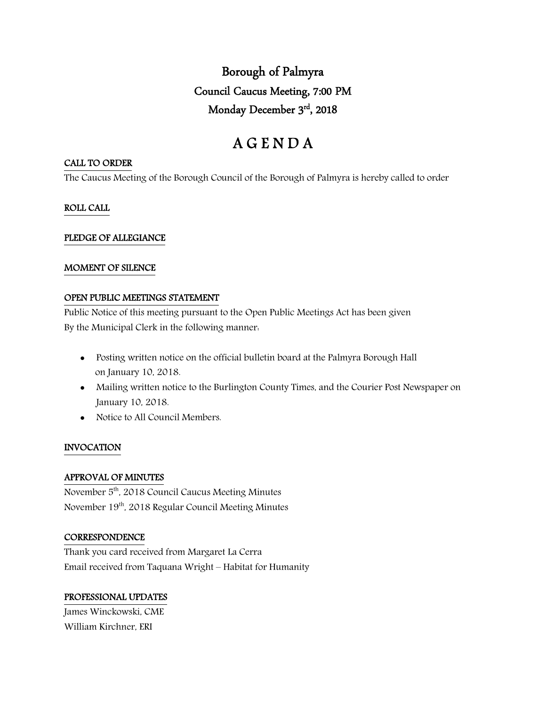Borough of Palmyra Council Caucus Meeting, 7:00 PM Monday December 3rd, 2018

# A G E N D A

#### CALL TO ORDER

The Caucus Meeting of the Borough Council of the Borough of Palmyra is hereby called to order

## ROLL CALL

## PLEDGE OF ALLEGIANCE

## MOMENT OF SILENCE

## OPEN PUBLIC MEETINGS STATEMENT

Public Notice of this meeting pursuant to the Open Public Meetings Act has been given By the Municipal Clerk in the following manner:

- Posting written notice on the official bulletin board at the Palmyra Borough Hall on January 10, 2018.
- Mailing written notice to the Burlington County Times, and the Courier Post Newspaper on January 10, 2018.
- Notice to All Council Members.

## INVOCATION

## APPROVAL OF MINUTES

November 5<sup>th</sup>, 2018 Council Caucus Meeting Minutes November 19th, 2018 Regular Council Meeting Minutes

## **CORRESPONDENCE**

Thank you card received from Margaret La Cerra Email received from Taquana Wright – Habitat for Humanity

# PROFESSIONAL UPDATES

James Winckowski, CME William Kirchner, ERI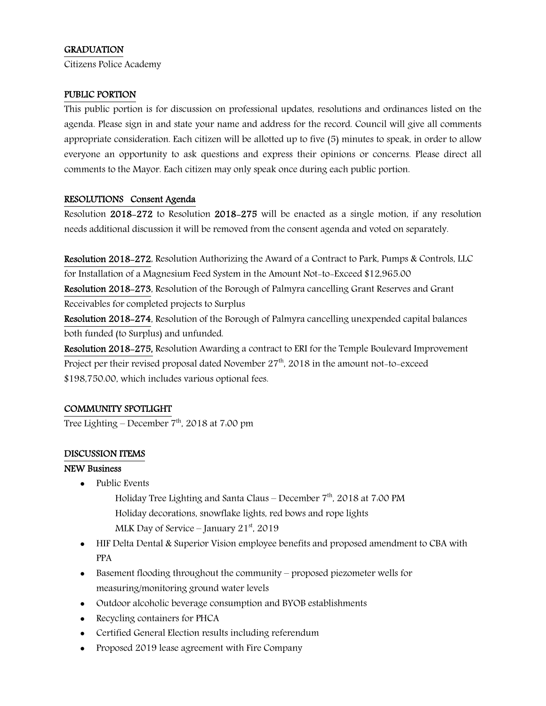# **GRADUATION**

Citizens Police Academy

#### PUBLIC PORTION

This public portion is for discussion on professional updates, resolutions and ordinances listed on the agenda. Please sign in and state your name and address for the record. Council will give all comments appropriate consideration. Each citizen will be allotted up to five (5) minutes to speak, in order to allow everyone an opportunity to ask questions and express their opinions or concerns. Please direct all comments to the Mayor. Each citizen may only speak once during each public portion.

## RESOLUTIONS Consent Agenda

Resolution 2018-272 to Resolution 2018-275 will be enacted as a single motion, if any resolution needs additional discussion it will be removed from the consent agenda and voted on separately.

Resolution 2018-272, Resolution Authorizing the Award of a Contract to Park, Pumps & Controls, LLC for Installation of a Magnesium Feed System in the Amount Not-to-Exceed \$12,965.00

Resolution 2018-273, Resolution of the Borough of Palmyra cancelling Grant Reserves and Grant Receivables for completed projects to Surplus

Resolution 2018-274, Resolution of the Borough of Palmyra cancelling unexpended capital balances both funded (to Surplus) and unfunded.

Resolution 2018-275, Resolution Awarding a contract to ERI for the Temple Boulevard Improvement Project per their revised proposal dated November  $27<sup>th</sup>$ , 2018 in the amount not-to-exceed \$198,750.00, which includes various optional fees.

## COMMUNITY SPOTLIGHT

Tree Lighting – December  $7<sup>th</sup>$ , 2018 at 7:00 pm

## DISCUSSION ITEMS

## NEW Business

- Public Events
	- Holiday Tree Lighting and Santa Claus December 7<sup>th</sup>, 2018 at 7:00 PM Holiday decorations, snowflake lights, red bows and rope lights MLK Day of Service – January  $21<sup>st</sup>$ , 2019
- HIF Delta Dental & Superior Vision employee benefits and proposed amendment to CBA with PPA
- Basement flooding throughout the community proposed piezometer wells for measuring/monitoring ground water levels
- Outdoor alcoholic beverage consumption and BYOB establishments
- Recycling containers for PHCA
- Certified General Election results including referendum
- Proposed 2019 lease agreement with Fire Company